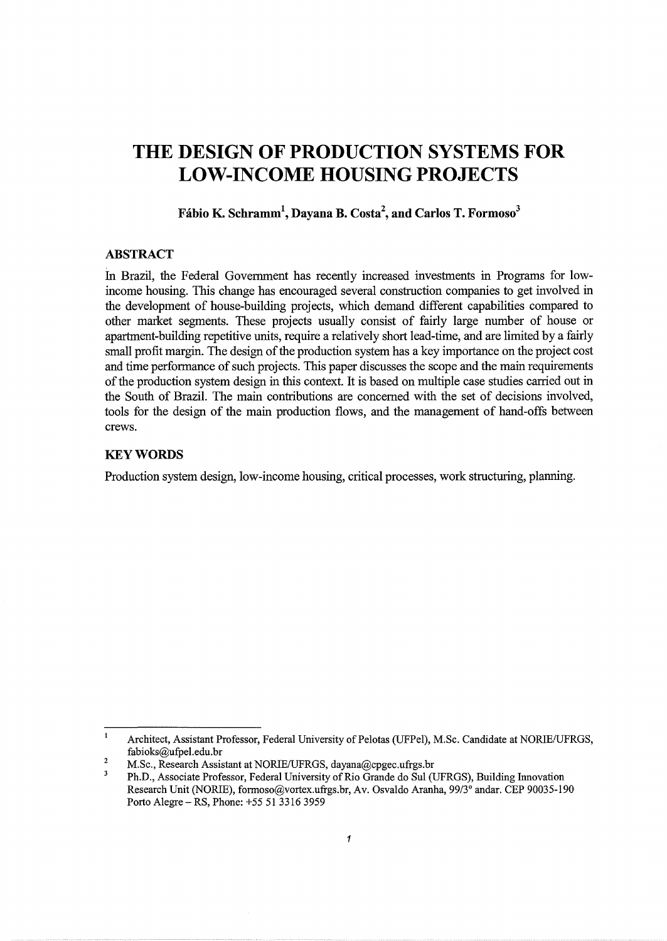# **THE DESIGN OF PRODUCTION SYSTEMS FOR LOW-INCOME HOUSING PROJECTS**

# **Fabio K. Schramm<sup>1</sup> , Dayana B. Costa2 , and Carlos T. Formoso<sup>3</sup>**

# **ABSTRACT**

In Brazil, the Federal Government has recently increased investments in Programs for lowincome housing. This change has encouraged several construction companies to get involved in the development of house-building projects, which demand different capabilities compared to other market segments. These projects usually consist of fairly large number of house or apartment-building repetitive units, require a relatively short lead-time, and are limited by a fairly small profit margin. The design of the production system has a key importance on the project cost and time performance of such projects. This paper discusses the scope and the main requirements of the production system design in this context. It is based on multiple case studies carried out in the South of Brazil. The main contributions are concerned with the set of decisions involved, tools for the design of the main production flows, and the management of hand-offs between crews.

# **KEYWORDS**

Production system design, low-income housing, critical processes, work structuring, planning.

 $\mathbf{1}$ Architect, Assistant Professor, Federal University of Pelotas (UFPel), M.Sc. Candidate at NORIE/UFRGS, fabioks@ufpel.edu.br  $\overline{2}$ 

M.Sc., Research Assistant at NORIE/UFRGS, dayana@cpgec.ufrgs.br

 $\overline{\mathbf{3}}$ Ph.D., Associate Professor, Federal University of Rio Grande do Sui (UFRGS), Building fun ovation Research Unit (NORIE), formoso@vortex.ufrgs.br, Av. Osvaldo Aranha, 99/3° andar. CEP 90035-190 Porto Alegre- RS, Phone: +55 51 3316 3959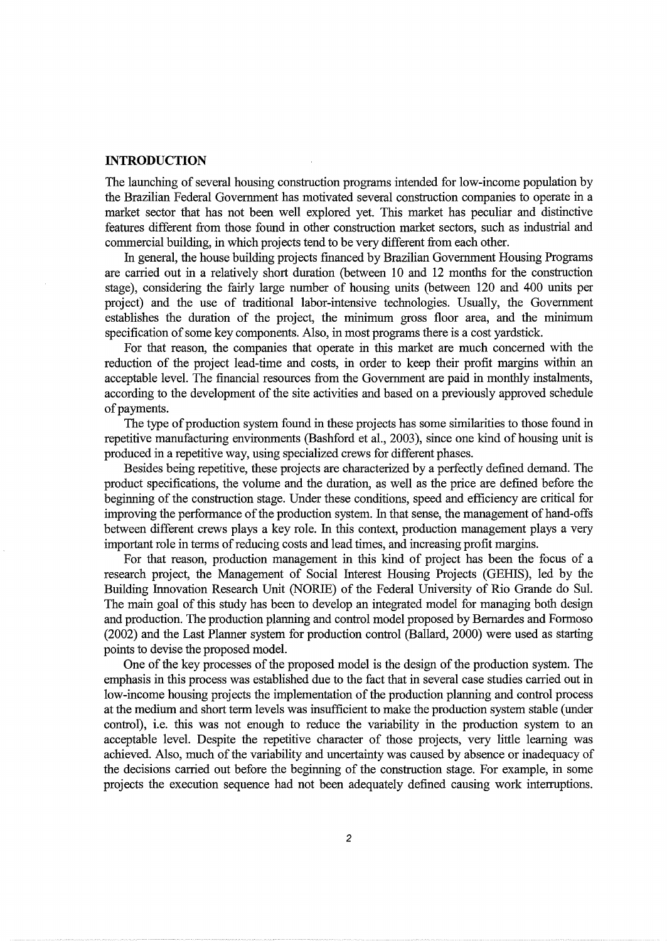#### **INTRODUCTION**

The launching of several housing construction programs intended for low-income population by the Brazilian Federal Government has motivated several construction companies to operate in a market sector that has not been well explored yet. This market has peculiar and distinctive features different from those found in other construction market sectors, such as industrial and commercial building, in which projects tend to be very different from each other.

In general, the house building projects financed by Brazilian Government Housing Programs are carried out in a relatively short duration (between 10 and 12 months for the construction stage), considering the fairly large number of housing units (between 120 and 400 units per project) and the use of traditional labor-intensive technologies. Usually, the Government establishes the duration of the project, the minimum gross floor area, and the minimum specification of some key components. Also, in most programs there is a cost yardstick.

For that reason, the companies that operate in this market are much concerned with the reduction of the project lead-time and costs, in order to keep their profit margins within an acceptable level. The financial resources from the Government are paid in monthly instalments, according to the development of the site activities and based on a previously approved schedule of payments.

The type of production system found in these projects has some similarities to those found in repetitive manufacturing environments (Bashford et al., 2003), since one kind of housing unit is produced in a repetitive way, using specialized crews for different phases.

Besides being repetitive, these projects are characterized by a perfectly defined demand. The product specifications, the volume and the duration, as well as the price are defined before the beginning of the construction stage. Under these conditions, speed and efficiency are critical for improving the performance of the production system. In that sense, the management of hand-offs between different crews plays a key role. In this context, production management plays a very important role in terms of reducing costs and lead times, and increasing profit margins.

For that reason, production management in this kind of project has been the focus of a research project, the Management of Social Interest Housing Projects (GEHIS), led by the Building Innovation Research Unit (NORIE) of the Federal University of Rio Grande do Sui. The main goal of this study has been to develop an integrated model for managing both design and production. The production planning and control model proposed by Bemardes and Formoso (2002) and the Last Planner system for production control (Ballard, 2000) were used as starting points to devise the proposed model.

One of the key processes of the proposed model is the design of the production system. The emphasis in this process was established due to the fact that in several case studies carried out in low-income housing projects the implementation of the production planning and control process at the medium and short term levels was insufficient to make the production system stable (under control), i.e. this was not enough to reduce the variability in the production system to an acceptable level. Despite the repetitive character of those projects, very little learning was achieved. Also, much of the variability and uncertainty was caused by absence or inadequacy of the decisions carried out before the beginning of the construction stage. For example, in some projects the execution sequence had not been adequately defined causing work interruptions.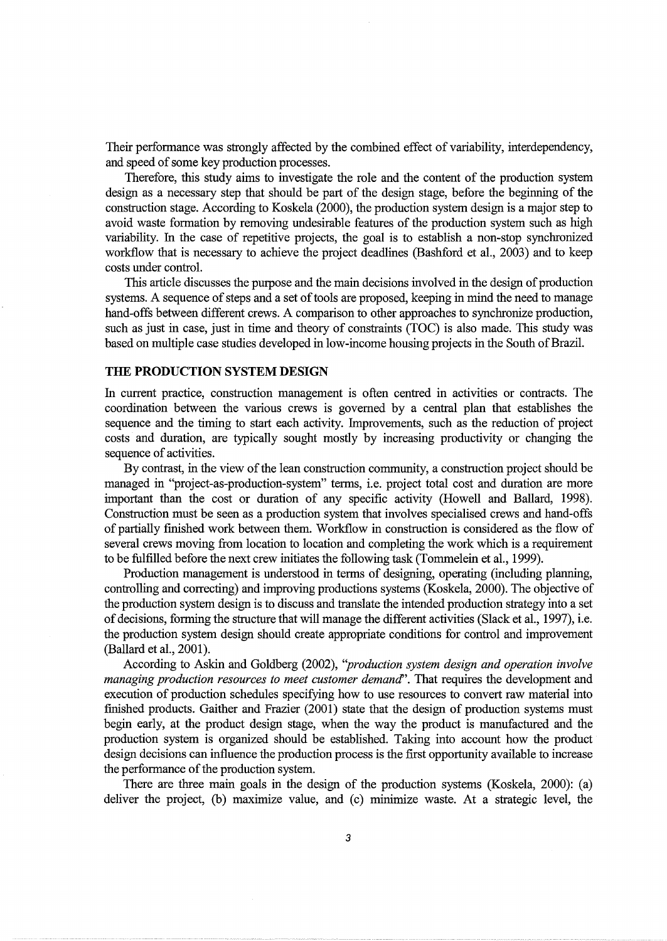Their performance was strongly affected by the combined effect of variability, interdependency, and speed of some key production processes.

Therefore, this study aims to investigate the role and the content of the production system design as a necessary step that should be part of the design stage, before the beginning of the construction stage. According to Koskela (2000), the production system design is a major step to avoid waste formation by removing undesirable features of the production system such as high variability. In the case of repetitive projects, the goal is to establish a non-stop synchronized workflow that is necessary to achieve the project deadlines (Bashford et al., 2003) and to keep costs under control.

This article discusses the purpose and the main decisions involved in the design of production systems. A sequence of steps and a set of tools are proposed, keeping in mind the need to manage hand-offs between different crews. A comparison to other approaches to synchronize production, such as just in case, just in time and theory of constraints (TOC) is also made. This study was based on multiple case studies developed in low-income housing projects in the South of Brazil.

## **THE PRODUCTION SYSTEM DESIGN**

In current practice, construction management is often centred in activities or contracts. The coordination between the various crews is governed by a central plan that establishes the sequence and the timing to start each activity. hnprovements, such as the reduction of project costs and duration, are typically sought mostly by increasing productivity or changing the sequence of activities.

By contrast, in the view of the lean construction community, a construction project should be managed in "project-as-production-system" terms, i.e. project total cost and duration are more important than the cost or duration of any specific activity (Howell and Ballard, 1998). Construction must be seen as a production system that involves specialised crews and hand-offs of partially finished work between them. Workflow in construction is considered as the flow of several crews moving from location to location and completing the work which is a requirement to be fulfilled before the next crew initiates the following task (Tommelein et al., 1999).

Production management is understood in terms of designing, operating (including planning, controlling and correcting) and improving productions systems (Koskela, 2000). The objective of the production system design is to discuss and translate the intended production strategy into a set of decisions, forming the structure that will manage the different activities (Slack et al., 1997), i.e. the production system design should create appropriate conditions for control and improvement (Ballard et al., 2001).

According to Askin and Goldberg (2002), *''production system design and operation involve managing production resources to meet customer demand''.* That requires the development and execution of production schedules specifying how to use resources to convert raw material into finished products. Gaither and Frazier (2001) state that the design of production systems must begin early, at the product design stage, when the way the product is manufactured and the production system is organized should be established. Taking into account how the product design decisions can influence the production process is the first opportunity available to increase the performance of the production system.

There are three main goals in the design of the production systems (Koskela, 2000): (a) deliver the project, (b) maximize value, and (c) minimize waste. At a strategic level, the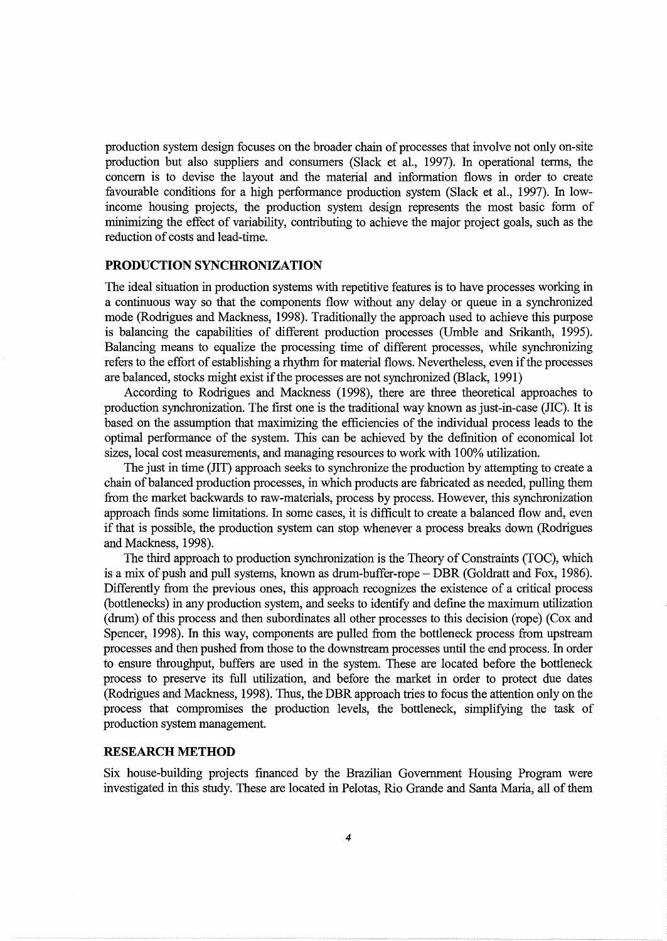production system design focuses on the broader chain of processes that involve not only on-site production but also suppliers and consumers (Slack et al., 1997). In operational terms, the concern is to devise the layout and the material and information flows in order to create favourable conditions for a high performance production system (Slack et al., 1997). In lowincome housing projects, the production system design represents the most basic form of minimizing the effect of variability, contributing to achieve the major project goals, such as the reduction of costs and lead-time.

## **PRODUCTION SYNCHRONIZATION**

The ideal situation in production systems with repetitive features is to have processes working in a continuous way so that the components flow without any delay or queue in a synchronized mode (Rodrigues and Mackness, 1998). Traditionally the approach used to achieve this purpose is balancing the capabilities of different production processes (Umble and Srikanth, 1995). Balancing means to equalize the processing time of different processes, while synchronizing refers to the effort of establishing a rhythm for material flows. Nevertheless, even if the processes are balanced, stocks might exist if the processes are not synchronized (Black, 1991)

According to Rodrigues and Mackness (1998), there are three theoretical approaches to production synchronization. The first one is the traditional way known as just-in-case (llC). It is based on the assumption that maximizing the efficiencies of the individual process leads to the optimal performance of the system. This can be achieved by the definition of economical lot sizes, local cost measurements, and managing resources to work with 100% utilization.

The just in time (llT) approach seeks to synchronize the production by attempting to create a chain of balanced production processes, in which products are fabricated as needed, pulling them from the market backwards to raw-materials, process by process. However, this synchronization approach finds some limitations. In some cases, it is difficult to create a balanced flow and, even if that is possible, the production system can stop whenever a process breaks down (Rodrigues and Mackness, 1998).

The third approach to production synchronization is the Theory of Constraints (TOC), which is a mix of push and pull systems, known as drum-buffer-rope- DBR (Goldratt and Fox, 1986). Differently from the previous ones, this approach recognizes the existence of a critical process (bottlenecks) in any production system, and seeks to identify and define the maximum utilization (drum) of this process and then subordinates all other processes to this decision (rope) (Cox and Spencer, 1998). In this way, components are pulled from the bottleneck process from upstream processes and then pushed from those to the downstream processes until the end process. In order to ensure throughput, buffers are used in the system. These are located before the bottleneck process to preserve its full utilization, and before the market in order to protect due dates (Rodrigues and Mackness, 1998). Thus, the DBR approach tries to focus the attention only on the process that compromises the production levels, the bottleneck, simplifying the task of production system management.

## **RESEARCH METHOD**

Six house-building projects financed by the Brazilian Government Housing Program were investigated in this study. These are located in Pelotas, Rio Grande and Santa Maria, all of them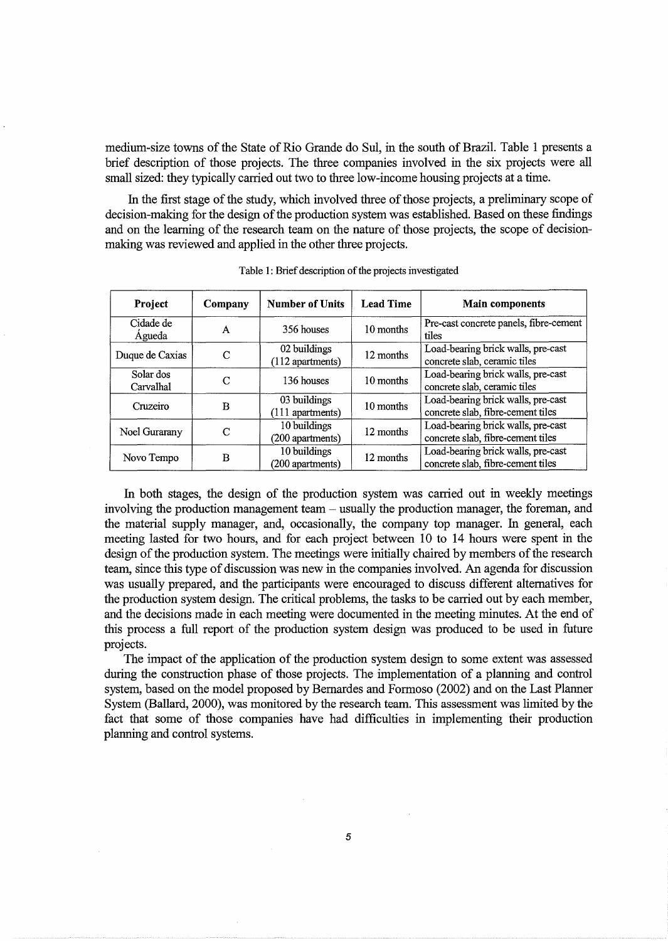medium-size towns of the State of Rio Grande do Sul, in the south of Brazil. Table 1 presents a brief description of those projects. The three companies involved in the six projects were all small sized: they typically carried out two to three low-income housing projects at a time.

In the first stage of the study, which involved three of those projects, a preliminary scope of decision-making for the design of the production system was established. Based on these findings and on the learning of the research team on the nature of those projects, the scope of decisionmaking was reviewed and applied in the other three projects.

| <b>Project</b>         | Company | <b>Number of Units</b>             | <b>Lead Time</b> | <b>Main components</b>                                                  |
|------------------------|---------|------------------------------------|------------------|-------------------------------------------------------------------------|
| Cidade de<br>Agueda    | A       | 356 houses                         | 10 months        | Pre-cast concrete panels, fibre-cement<br>tiles                         |
| Duque de Caxias        | C       | 02 buildings<br>$(112$ apartments) | 12 months        | Load-bearing brick walls, pre-cast<br>concrete slab, ceramic tiles      |
| Solar dos<br>Carvalhal | C       | 136 houses                         | 10 months        | Load-bearing brick walls, pre-cast<br>concrete slab, ceramic tiles      |
| Cruzeiro               | в       | 03 buildings<br>(111 apartments)   | 10 months        | Load-bearing brick walls, pre-cast<br>concrete slab, fibre-cement tiles |
| Noel Gurarany          | C       | 10 buildings<br>(200 apartments)   | 12 months        | Load-bearing brick walls, pre-cast<br>concrete slab, fibre-cement tiles |
| Novo Tempo             | B       | 10 buildings<br>(200 apartments)   | 12 months        | Load-bearing brick walls, pre-cast<br>concrete slab, fibre-cement tiles |

Table 1: Brief description of the projects investigated

In both stages, the design of the production system was carried out in weekly meetings involving the production management team - usually the production manager, the foreman, and the material supply manager, and, occasionally, the company top manager. In general, each meeting lasted for two hours, and for each project between 10 to 14 hours were spent in the design of the production system. The meetings were initially chaired by members of the research team, since this type of discussion was new in the companies involved. An agenda for discussion was usually prepared, and the participants were encouraged to discuss different alternatives for the production system design. The critical problems, the tasks to be carried out by each member, and the decisions made in each meeting were documented in the meeting minutes. At the end of this process a full report of the production system design was produced to be used in future projects.

The impact of the application of the production system design to some extent was assessed during the construction phase of those projects. The implementation of a planning and control system, based on the model proposed by Bernardes and Formoso (2002) and on the Last Planner System (Ballard, 2000), was monitored by the research team. This assessment was limited by the fact that some of those companies have had difficulties in implementing their production planning and control systems.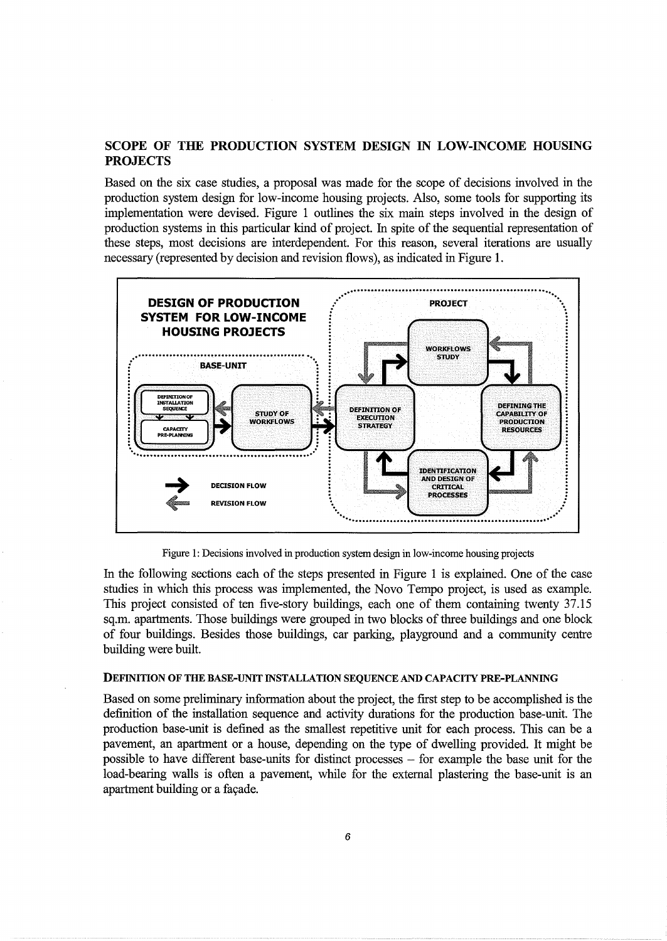# SCOPE OF THE PRODUCTION SYSTEM DESIGN IN LOW-INCOME HOUSING **PROJECTS**

Based on the six case studies, a proposal was made for the scope of decisions involved in the production system design for low-income housing projects. Also, some tools for supporting its implementation were devised. Figure 1 outlines the six main steps involved in the design of production systems in this particular kind of project. In spite of the sequential representation of these steps, most decisions are interdependent. For this reason, several iterations are usually necessary (represented by decision and revision flows), as indicated in Figure 1.



Figure 1: Decisions involved in production system design in low-income housing projects

In the following sections each of the steps presented in Figure 1 is explained. One of the case studies in which this process was implemented, the Novo Tempo project, is used as example. This project consisted of ten five-story buildings, each one of them containing twenty 37.15 sq.m. apartments. Those buildings were grouped in two blocks of three buildings and one block of four buildings. Besides those buildings, car parking, playground and a community centre building were built.

#### **DEFINITION OF THE BASE-UNIT INSTALLATION SEQUENCE AND CAPACITY PRE-PLANNING**

Based on some preliminary information about the project, the first step to be accomplished is the definition of the installation sequence and activity durations for the production base-unit. The production base-unit is defined as the smallest repetitive unit for each process. This can be a pavement, an apartment or a house, depending on the type of dwelling provided. It might be possible to have different base-units for distinct processes – for example the base unit for the load-bearing walls is often a pavement, while for the external plastering the base-unit is an apartment building or a façade.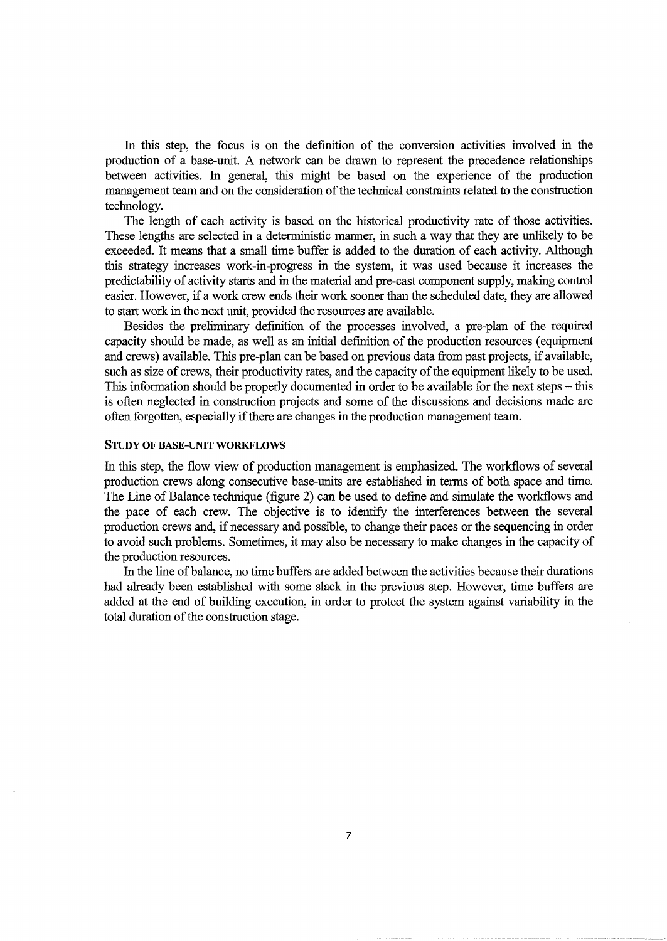fu this step, the focus is on the definition of the conversion activities involved in the production of a base-unit. A network can be drawn to represent the precedence relationships between activities. In general, this might be based on the experience of the production management team and on the consideration of the technical constraints related to the construction technology.

The length of each activity is based on the historical productivity rate of those activities. These lengths are selected in a deterministic manner, in such a way that they are unlikely to be exceeded. It means that a small time buffer is added to the duration of each activity. Although this strategy increases work-in-progress in the system, it was used because it increases the predictability of activity starts and in the material and pre-cast component supply, making control easier. However, if a work crew ends their work sooner than the scheduled date, they are allowed to start work in the next unit, provided the resources are available.

Besides the preliminary definition of the processes involved, a pre-plan of the required capacity should be made, as well as an initial definition of the production resources (equipment and crews) available. This pre-plan can be based on previous data from past projects, if available, such as size of crews, their productivity rates, and the capacity of the equipment likely to be used. This information should be properly documented in order to be available for the next steps  $-$  this is often neglected in construction projects and some of the discussions and decisions made are often forgotten, especially if there are changes in the production management team.

#### STUDY OF BASE-UNIT WORKFLOWS

In this step, the flow view of production management is emphasized. The workflows of several production crews along consecutive base-units are established in terms of both space and time. The Line of Balance technique (figure 2) can be used to define and simulate the workflows and the pace of each crew. The objective is to identify the interferences between the several production crews and, if necessary and possible, to change their paces or the sequencing in order to avoid such problems. Sometimes, it may also be necessary to make changes in the capacity of the production resources.

fu the line of balance, no time buffers are added between the activities because their durations had already been established with some slack in the previous step. However, time buffers are added at the end of building execution, in order to protect the system against variability in the total duration of the construction stage.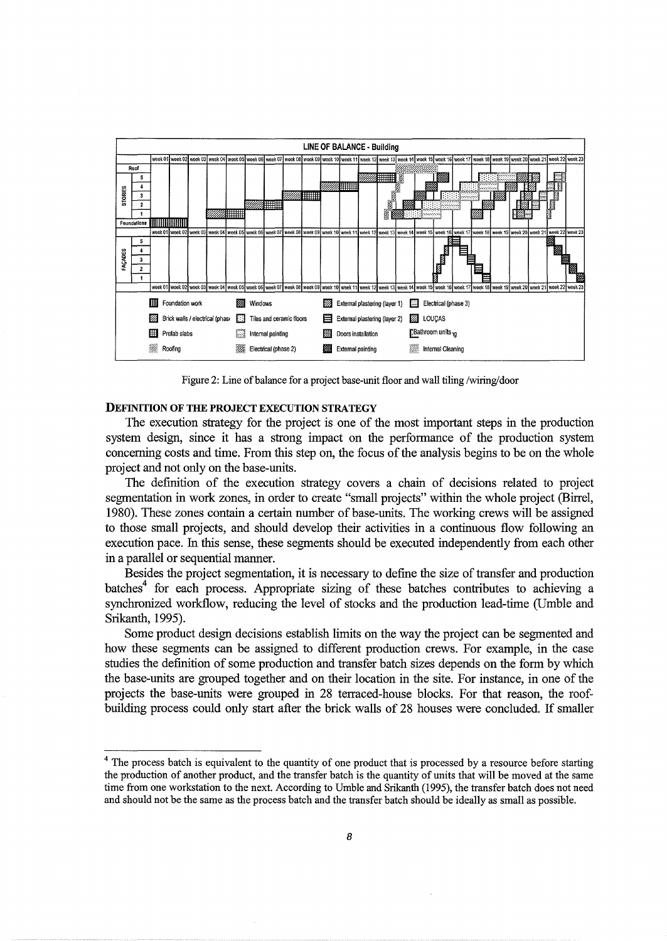

Figure 2: Line of balance for a project base-unit floor and wall tiling /wiring/door

#### DEFINITION OF THE PROJECT EXECUTION STRATEGY

The execution strategy for the project is one of the most important steps in the production system design, since it has a strong impact on the performance of the production system concerning costs and time. From this step on, the focus of the analysis begins to be on the whole project and not only on the base-units.

The definition of the execution strategy covers a chain of decisions related to project segmentation in work zones, in order to create "small projects" within the whole project (Birrel, 1980). These zones contain a certain number of base-units. The working crews will be assigned to those small projects, and should develop their activities in a continuous flow following an execution pace. In this sense, these segments should be executed independently from each other in a parallel or sequential manner.

Besides the project segmentation, it is necessary to define the size of transfer and production batches<sup>4</sup> for each process. Appropriate sizing of these batches contributes to achieving a synchronized workflow, reducing the level of stocks and the production lead-time (Umble and Srikanth, 1995).

Some product design decisions establish limits on the way the project can be segmented and how these segments can be assigned to different production crews. For example, in the case studies the definition of some production and transfer batch sizes depends on the form by which the base-units are grouped together and on their location in the site. For instance, in one of the projects the base-units were grouped in 28 terraced-house blocks. For that reason, the roofbuilding process could only start after the brick walls of 28 houses were concluded. If smaller

<sup>&</sup>lt;sup>4</sup> The process batch is equivalent to the quantity of one product that is processed by a resource before starting the production of another product, and the transfer batch is the quantity of units that will be moved at the same time from one workstation to the next. According to Umble and Srikanth (1995), the transfer batch does not need and should not be the same as the process batch and the transfer batch should be ideally as small as possible.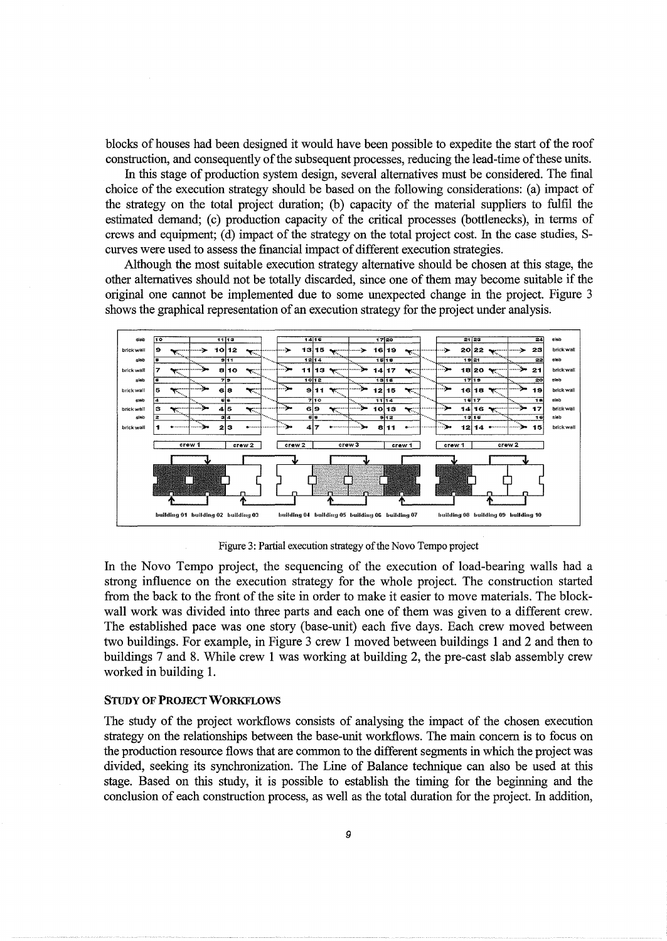blocks of houses had been designed it would have been possible to expedite the start of the roof construction, and consequently of the subsequent processes, reducing the lead-time of these units.

In this stage of production system design, several alternatives must be considered. The final choice of the execution strategy should be based on the following considerations: (a) impact of the strategy on the total project duration; (b) capacity of the material suppliers to fulfil the estimated demand; (c) production capacity of the critical processes (bottlenecks), in terms of crews and equipment; (d) impact of the strategy on the total project cost. In the case studies, Scurves were used to assess the financial impact of different execution strategies.

Although the most suitable execution strategy alternative should be chosen at this stage, the other alternatives should not be totally discarded, since one of them may become suitable if the original one cannot be implemented due to some unexpected change in the project. Figure 3 shows the graphical representation of an execution strategy for the project under analysis.



Figure 3: Partial execution strategy of the Novo Tempo project

In the Novo Tempo project, the sequencing of the execution of load-bearing walls had a strong influence on the execution strategy for the whole project. The construction started from the back to the front of the site in order to make it easier to move materials. The blockwall work was divided into three parts and each one of them was given to a different crew. The established pace was one story (base-unit) each five days. Each crew moved between two buildings. For example, in Figure 3 crew 1 moved between buildings 1 and 2 and then to buildings 7 and 8. While crew 1 was working at building 2, the pre-cast slab assembly crew worked in building 1.

#### **STUDY OF PROJECT WORKFLOWS**

The study of the project workflows consists of analysing the impact of the chosen execution strategy on the relationships between the base-unit workflows. The main concern is to focus on the production resource flows that are common to the different segments in which the project was divided, seeking its synchronization. The Line of Balance technique can also be used at this stage. Based on this study, it is possible to establish the timing for the beginning and the conclusion of each construction process, as well as the total duration for the project. In addition,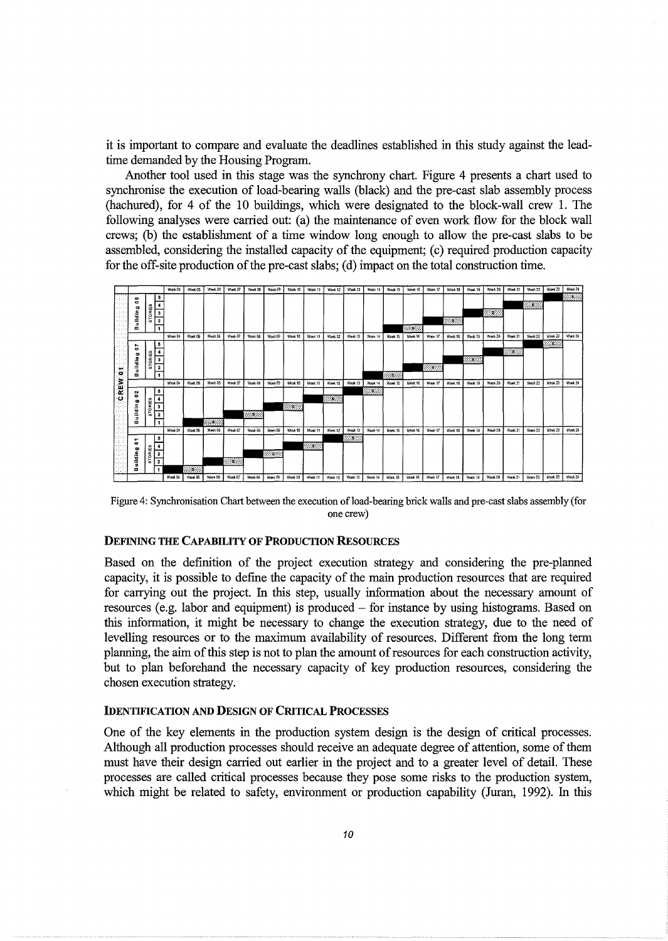it is important to compare and evaluate the deadlines established in this study against the leadtime demanded by the Housing Program.

Another tool used in this stage was the synchrony chart. Figure 4 presents a chart used to synchronise the execution of load-bearing walls (black) and the pre-cast slab assembly process (hachured), for 4 of the 10 buildings, which were designated to the block-wall crew 1. The following analyses were carried out: (a) the maintenance of even work flow for the block wall crews; (b) the establishment of a time window long enough to allow the pre-cast slabs to be assembled, considering the installed capacity of the equipment; (c) required production capacity for the off-site production of the pre-cast slabs; (d) impact on the total construction time.



Figure 4: Synchronisation Chart between the execution of load-bearing brick walls and pre-cast slabs assembly (for one crew)

# DEFINING THE CAPABILITY OF PRODUCTION RESOURCES

Based on the definition of the project execution strategy and considering the pre-planned capacity, it is possible to define the capacity of the main production resources that are required for carrying out the project. In this step, usually information about the necessary amount of resources (e.g. labor and equipment) is produced – for instance by using histograms. Based on this information, it might be necessary to change the execution strategy, due to the need of levelling resources or to the maximum availability of resources. Different from the long term planning, the aim of this step is not to plan the amount of resources for each construction activity, but to plan beforehand the necessary capacity of key production resources, considering the chosen execution strategy.

# IDENTIFICATION AND DESIGN OF CRITICAL PROCESSES

One of the key elements in the production system design is the design of critical processes. Although all production processes should receive an adequate degree of attention, some of them must have their design carried out earlier in the project and to a greater level of detail. These processes are called critical processes because they pose some risks to the production system, which might be related to safety, environment or production capability (Juran, 1992). In this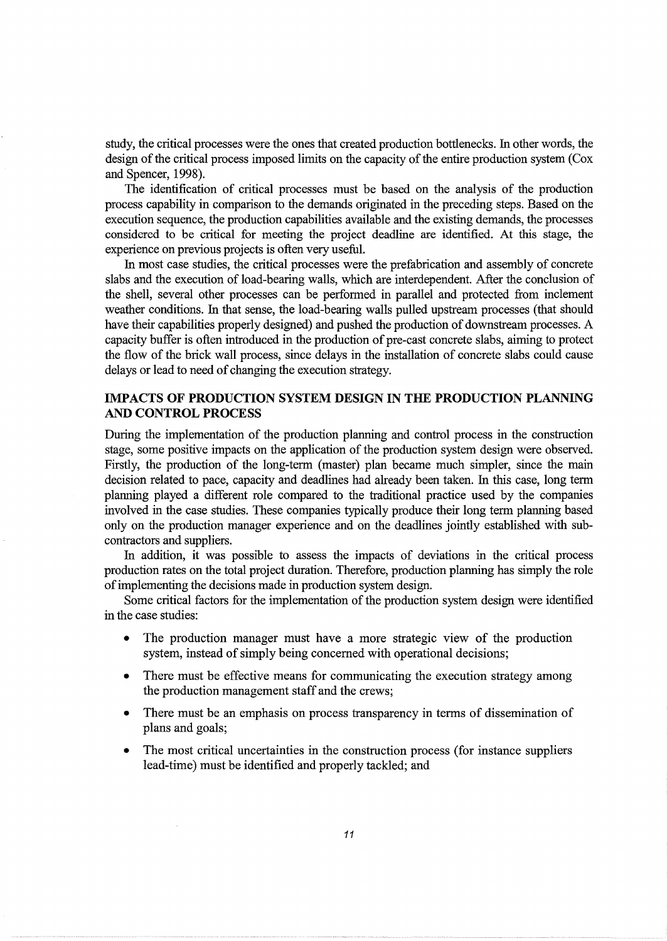study, the critical processes were the ones that created production bottlenecks. In other words, the design of the critical process imposed limits on the capacity of the entire production system (Cox and Spencer, 1998).

The identification of critical processes must be based on the analysis of the production process capability in comparison to the demands originated in the preceding steps. Based on the execution sequence, the production capabilities available and the existing demands, the processes considered to be critical for meeting the project deadline are identified. At this stage, the experience on previous projects is often very useful.

In most case studies, the critical processes were the prefabrication and assembly of concrete slabs and the execution of load-bearing walls, which are interdependent. After the conclusion of the shell, several other processes can be performed in parallel and protected from inclement weather conditions. In that sense, the load-bearing walls pulled upstream processes (that should have their capabilities properly designed) and pushed the production of downstream processes. A capacity buffer is often introduced in the production of pre-cast concrete slabs, aiming to protect the flow of the brick wall process, since delays in the installation of concrete slabs could cause delays or lead to need of changing the execution strategy.

# **IMP ACTS OF PRODUCTION SYSTEM DESIGN IN THE PRODUCTION PLANNING AND CONTROL PROCESS**

During the implementation of the production planning and control process in the construction stage, some positive impacts on the application of the production system design were observed. Firstly, the production of the long-term (master) plan became much simpler, since the main decision related to pace, capacity and deadlines had already been taken. In this case, long term planning played a different role compared to the traditional practice used by the companies involved in the case studies. These companies typically produce their long term planning based only on the production manager experience and on the deadlines jointly established with subcontractors and suppliers.

In addition, it was possible to assess the impacts of deviations in the critical process production rates on the total project duration. Therefore, production planning has simply the role of implementing the decisions made in production system design.

Some critical factors for the implementation of the production system design were identified in the case studies:

- The production manager must have a more strategic view of the production system, instead of simply being concerned with operational decisions;
- There must be effective means for communicating the execution strategy among the production management staff and the crews;
- There must be an emphasis on process transparency in terms of dissemination of plans and goals;
- The most critical uncertainties in the construction process (for instance suppliers lead-time) must be identified and properly tackled; and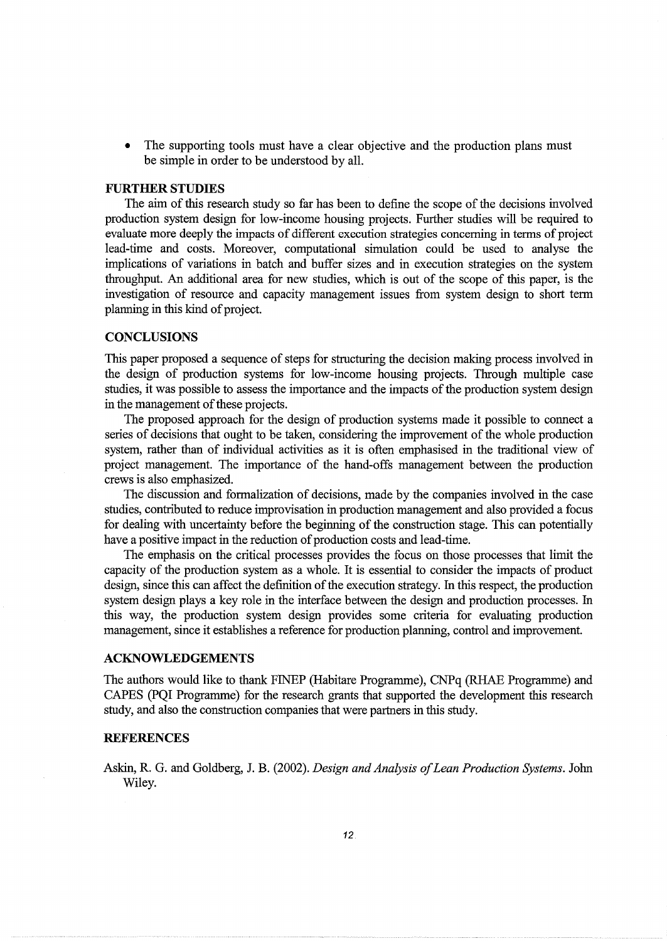The supporting tools must have a clear objective and the production plans must be simple in order to be understood by all.

# **FURTHER STUDIES**

The aim of this research study so far has been to define the scope of the decisions involved production system design for low-income housing projects. Further studies will be required to evaluate more deeply the impacts of different execution strategies concerning in terms of project lead-time and costs. Moreover, computational simulation could be used to analyse the implications of variations in batch and buffer sizes and in execution strategies on the system throughput. An additional area for new studies, which is out of the scope of this paper, is the investigation of resource and capacity management issues from system design to short term planning in this kind of project.

## **CONCLUSIONS**

This paper proposed a sequence of steps for structuring the decision making process involved in the design of production systems for low-income housing projects. Through multiple case studies, it was possible to assess the importance and the impacts of the production system design in the management of these projects.

The proposed approach for the design of production systems made it possible to connect a series of decisions that ought to be taken, considering the improvement of the whole production system, rather than of individual activities as it is often emphasised in the traditional view of project management. The importance of the hand-offs management between the production crews is also emphasized.

The discussion and formalization of decisions, made by the companies involved in the case studies, contributed to reduce improvisation in production management and also provided a focus for dealing with uncertainty before the beginning of the construction stage. This can potentially have a positive impact in the reduction of production costs and lead-time.

The emphasis on the critical processes provides the focus on those processes that limit the capacity of the production system as a whole. It is essential to consider the impacts of product design, since this can affect the definition of the execution strategy. In this respect, the production system design plays a key role in the interface between the design and production processes. In this way, the production system design provides some criteria for evaluating production management, since it establishes a reference for production planning, control and improvement.

#### **ACKNOWLEDGEMENTS**

The authors would like to thank FINEP (Habitare Programme), CNPq (RHAE Programme) and CAPES (PQI Programme) for the research grants that supported the development this research study, and also the construction companies that were partners in this study.

## **REFERENCES**

Askin, R. G. and Goldberg, J. B. (2002). *Design and Analysis of Lean Production Systems.* John Wiley.